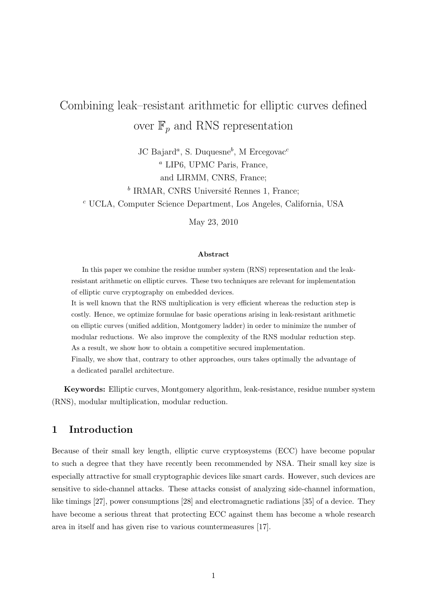# Combining leak–resistant arithmetic for elliptic curves defined over  $\mathbb{F}_p$  and RNS representation

JC Bajard<sup>a</sup>, S. Duquesne<sup>b</sup>, M Ercegovac<sup>c</sup> <sup>a</sup> LIP6, UPMC Paris, France, and LIRMM, CNRS, France;

<sup>b</sup> IRMAR, CNRS Université Rennes 1, France;

<sup>c</sup> UCLA, Computer Science Department, Los Angeles, California, USA

May 23, 2010

#### Abstract

In this paper we combine the residue number system (RNS) representation and the leakresistant arithmetic on elliptic curves. These two techniques are relevant for implementation of elliptic curve cryptography on embedded devices.

It is well known that the RNS multiplication is very efficient whereas the reduction step is costly. Hence, we optimize formulae for basic operations arising in leak-resistant arithmetic on elliptic curves (unified addition, Montgomery ladder) in order to minimize the number of modular reductions. We also improve the complexity of the RNS modular reduction step. As a result, we show how to obtain a competitive secured implementation.

Finally, we show that, contrary to other approaches, ours takes optimally the advantage of a dedicated parallel architecture.

Keywords: Elliptic curves, Montgomery algorithm, leak-resistance, residue number system (RNS), modular multiplication, modular reduction.

## 1 Introduction

Because of their small key length, elliptic curve cryptosystems (ECC) have become popular to such a degree that they have recently been recommended by NSA. Their small key size is especially attractive for small cryptographic devices like smart cards. However, such devices are sensitive to side-channel attacks. These attacks consist of analyzing side-channel information, like timings [27], power consumptions [28] and electromagnetic radiations [35] of a device. They have become a serious threat that protecting ECC against them has become a whole research area in itself and has given rise to various countermeasures [17].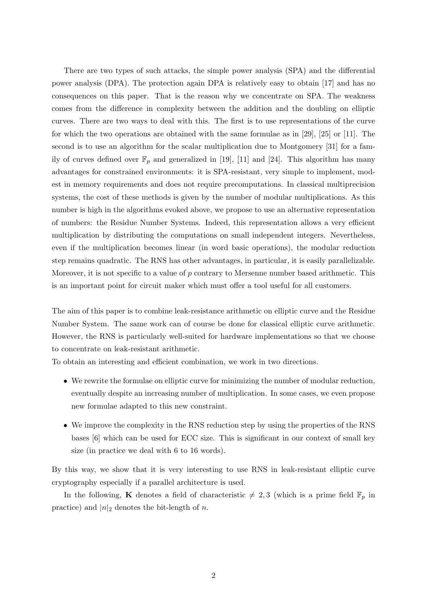There are two types of such attacks, the simple power analysis (SPA) and the differential power analysis (DPA). The protection again DPA is relatively easy to obtain [17] and has no consequences on this paper. That is the reason why we concentrate on SPA. The weakness comes from the difference in complexity between the addition and the doubling on elliptic curves. There are two ways to deal with this. The first is to use representations of the curve for which the two operations are obtained with the same formulae as in [29], [25] or [11]. The second is to use an algorithm for the scalar multiplication due to Montgomery [31] for a family of curves defined over  $\mathbb{F}_p$  and generalized in [19], [11] and [24]. This algorithm has many advantages for constrained environments: it is SPA-resistant, very simple to implement, modest in memory requirements and does not require precomputations. In classical multiprecision systems, the cost of these methods is given by the number of modular multiplications. As this number is high in the algorithms evoked above, we propose to use an alternative representation of numbers: the Residue Number Systems. Indeed, this representation allows a very efficient multiplication by distributing the computations on small independent integers. Nevertheless, even if the multiplication becomes linear (in word basic operations), the modular reduction step remains quadratic. The RNS has other advantages, in particular, it is easily parallelizable. Moreover, it is not specific to a value of  $p$  contrary to Mersenne number based arithmetic. This is an important point for circuit maker which must offer a tool useful for all customers.

The aim of this paper is to combine leak-resistance arithmetic on elliptic curve and the Residue Number System. The same work can of course be done for classical elliptic curve arithmetic. However, the RNS is particularly well-suited for hardware implementations so that we choose to concentrate on leak-resistant arithmetic.

To obtain an interesting and efficient combination, we work in two directions.

- We rewrite the formulae on elliptic curve for minimizing the number of modular reduction, eventually despite an increasing number of multiplication. In some cases, we even propose new formulae adapted to this new constraint.
- We improve the complexity in the RNS reduction step by using the properties of the RNS bases [6] which can be used for ECC size. This is significant in our context of small key size (in practice we deal with 6 to 16 words).

By this way, we show that it is very interesting to use RNS in leak-resistant elliptic curve cryptography especially if a parallel architecture is used.

In the following, **K** denotes a field of characteristic  $\neq 2, 3$  (which is a prime field  $\mathbb{F}_p$  in practice) and  $|n|_2$  denotes the bit-length of n.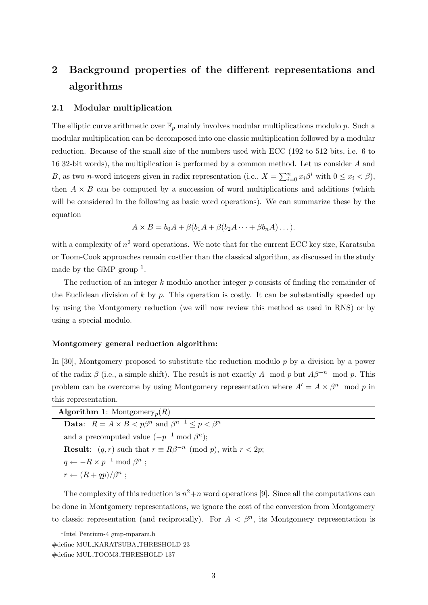## 2 Background properties of the different representations and algorithms

#### 2.1 Modular multiplication

The elliptic curve arithmetic over  $\mathbb{F}_p$  mainly involves modular multiplications modulo p. Such a modular multiplication can be decomposed into one classic multiplication followed by a modular reduction. Because of the small size of the numbers used with ECC (192 to 512 bits, i.e. 6 to 16 32-bit words), the multiplication is performed by a common method. Let us consider A and B, as two n-word integers given in radix representation (i.e.,  $X = \sum_{i=0}^{n} x_i \beta^i$  with  $0 \le x_i < \beta$ ), then  $A \times B$  can be computed by a succession of word multiplications and additions (which will be considered in the following as basic word operations). We can summarize these by the equation

$$
A \times B = b_0 A + \beta (b_1 A + \beta (b_2 A \cdots + \beta b_n A) \cdots).
$$

with a complexity of  $n^2$  word operations. We note that for the current ECC key size, Karatsuba or Toom-Cook approaches remain costlier than the classical algorithm, as discussed in the study made by the GMP group  $<sup>1</sup>$ .</sup>

The reduction of an integer k modulo another integer  $p$  consists of finding the remainder of the Euclidean division of  $k$  by  $p$ . This operation is costly. It can be substantially speeded up by using the Montgomery reduction (we will now review this method as used in RNS) or by using a special modulo.

#### Montgomery general reduction algorithm:

In [30], Montgomery proposed to substitute the reduction modulo p by a division by a power of the radix  $\beta$  (i.e., a simple shift). The result is not exactly A mod p but  $A\beta^{-n}$  mod p. This problem can be overcome by using Montgomery representation where  $A' = A \times \beta^n \mod p$  in this representation.

| <b>Algorithm 1:</b> Montgomery <sub>p</sub> $(R)$                                   |  |
|-------------------------------------------------------------------------------------|--|
| <b>Data:</b> $R = A \times B < p\beta^n$ and $\beta^{n-1} < p < \beta^n$            |  |
| and a precomputed value $(-p^{-1} \bmod \beta^n)$ ;                                 |  |
| <b>Result:</b> $(q, r)$ such that $r \equiv R\beta^{-n} \pmod{p}$ , with $r < 2p$ ; |  |
| $q \leftarrow -R \times p^{-1} \bmod \beta^n$ :                                     |  |
| $r \leftarrow (R+qp)/\beta^n$ ;                                                     |  |

The complexity of this reduction is  $n^2+n$  word operations [9]. Since all the computations can be done in Montgomery representations, we ignore the cost of the conversion from Montgomery to classic representation (and reciprocally). For  $A < \beta^n$ , its Montgomery representation is

<sup>1</sup> Intel Pentium-4 gmp-mparam.h

<sup>#</sup>define MUL KARATSUBA THRESHOLD 23

<sup>#</sup>define MUL TOOM3 THRESHOLD 137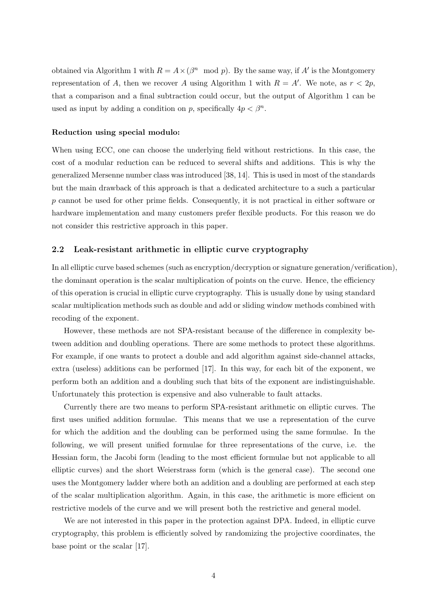obtained via Algorithm 1 with  $R = A \times (\beta^n \mod p)$ . By the same way, if A' is the Montgomery representation of A, then we recover A using Algorithm 1 with  $R = A'$ . We note, as  $r < 2p$ , that a comparison and a final subtraction could occur, but the output of Algorithm 1 can be used as input by adding a condition on p, specifically  $4p < \beta^n$ .

#### Reduction using special modulo:

When using ECC, one can choose the underlying field without restrictions. In this case, the cost of a modular reduction can be reduced to several shifts and additions. This is why the generalized Mersenne number class was introduced [38, 14]. This is used in most of the standards but the main drawback of this approach is that a dedicated architecture to a such a particular p cannot be used for other prime fields. Consequently, it is not practical in either software or hardware implementation and many customers prefer flexible products. For this reason we do not consider this restrictive approach in this paper.

#### 2.2 Leak-resistant arithmetic in elliptic curve cryptography

In all elliptic curve based schemes (such as encryption/decryption or signature generation/verification), the dominant operation is the scalar multiplication of points on the curve. Hence, the efficiency of this operation is crucial in elliptic curve cryptography. This is usually done by using standard scalar multiplication methods such as double and add or sliding window methods combined with recoding of the exponent.

However, these methods are not SPA-resistant because of the difference in complexity between addition and doubling operations. There are some methods to protect these algorithms. For example, if one wants to protect a double and add algorithm against side-channel attacks, extra (useless) additions can be performed [17]. In this way, for each bit of the exponent, we perform both an addition and a doubling such that bits of the exponent are indistinguishable. Unfortunately this protection is expensive and also vulnerable to fault attacks.

Currently there are two means to perform SPA-resistant arithmetic on elliptic curves. The first uses unified addition formulae. This means that we use a representation of the curve for which the addition and the doubling can be performed using the same formulae. In the following, we will present unified formulae for three representations of the curve, i.e. the Hessian form, the Jacobi form (leading to the most efficient formulae but not applicable to all elliptic curves) and the short Weierstrass form (which is the general case). The second one uses the Montgomery ladder where both an addition and a doubling are performed at each step of the scalar multiplication algorithm. Again, in this case, the arithmetic is more efficient on restrictive models of the curve and we will present both the restrictive and general model.

We are not interested in this paper in the protection against DPA. Indeed, in elliptic curve cryptography, this problem is efficiently solved by randomizing the projective coordinates, the base point or the scalar [17].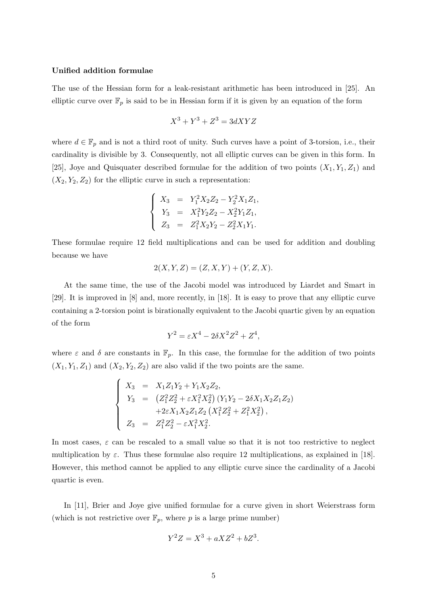#### Unified addition formulae

The use of the Hessian form for a leak-resistant arithmetic has been introduced in [25]. An elliptic curve over  $\mathbb{F}_p$  is said to be in Hessian form if it is given by an equation of the form

$$
X^3 + Y^3 + Z^3 = 3dXYZ
$$

where  $d \in \mathbb{F}_p$  and is not a third root of unity. Such curves have a point of 3-torsion, i.e., their cardinality is divisible by 3. Consequently, not all elliptic curves can be given in this form. In [25], Joye and Quisquater described formulae for the addition of two points  $(X_1, Y_1, Z_1)$  and  $(X_2, Y_2, Z_2)$  for the elliptic curve in such a representation:

$$
\begin{cases}\nX_3 = Y_1^2 X_2 Z_2 - Y_2^2 X_1 Z_1, \\
Y_3 = X_1^2 Y_2 Z_2 - X_2^2 Y_1 Z_1, \\
Z_3 = Z_1^2 X_2 Y_2 - Z_2^2 X_1 Y_1.\n\end{cases}
$$

These formulae require 12 field multiplications and can be used for addition and doubling because we have

$$
2(X, Y, Z) = (Z, X, Y) + (Y, Z, X).
$$

At the same time, the use of the Jacobi model was introduced by Liardet and Smart in [29]. It is improved in [8] and, more recently, in [18]. It is easy to prove that any elliptic curve containing a 2-torsion point is birationally equivalent to the Jacobi quartic given by an equation of the form

$$
Y^2 = \varepsilon X^4 - 2\delta X^2 Z^2 + Z^4,
$$

where  $\varepsilon$  and  $\delta$  are constants in  $\mathbb{F}_p$ . In this case, the formulae for the addition of two points  $(X_1, Y_1, Z_1)$  and  $(X_2, Y_2, Z_2)$  are also valid if the two points are the same.

$$
\begin{cases}\nX_3 = X_1 Z_1 Y_2 + Y_1 X_2 Z_2, \\
Y_3 = (Z_1^2 Z_2^2 + \varepsilon X_1^2 X_2^2) (Y_1 Y_2 - 2 \delta X_1 X_2 Z_1 Z_2) \\
+ 2 \varepsilon X_1 X_2 Z_1 Z_2 (X_1^2 Z_2^2 + Z_1^2 X_2^2), \\
Z_3 = Z_1^2 Z_2^2 - \varepsilon X_1^2 X_2^2.\n\end{cases}
$$

In most cases,  $\varepsilon$  can be rescaled to a small value so that it is not too restrictive to neglect multiplication by  $\varepsilon$ . Thus these formulae also require 12 multiplications, as explained in [18]. However, this method cannot be applied to any elliptic curve since the cardinality of a Jacobi quartic is even.

In [11], Brier and Joye give unified formulae for a curve given in short Weierstrass form (which is not restrictive over  $\mathbb{F}_p$ , where p is a large prime number)

$$
Y^2Z = X^3 + aXZ^2 + bZ^3.
$$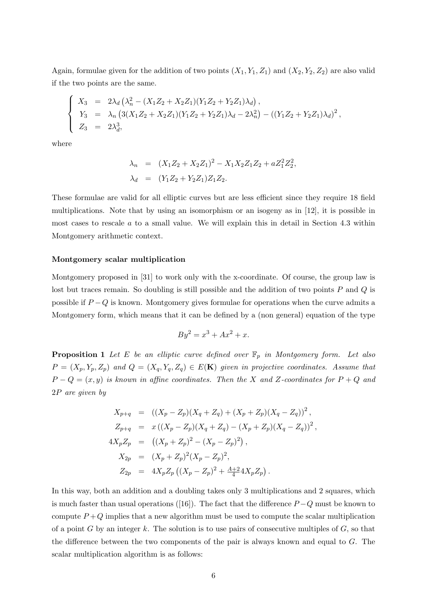Again, formulae given for the addition of two points  $(X_1, Y_1, Z_1)$  and  $(X_2, Y_2, Z_2)$  are also valid if the two points are the same.

$$
\begin{cases}\nX_3 = 2\lambda_d \left( \lambda_n^2 - (X_1 Z_2 + X_2 Z_1)(Y_1 Z_2 + Y_2 Z_1) \lambda_d \right), \\
Y_3 = \lambda_n \left( 3(X_1 Z_2 + X_2 Z_1)(Y_1 Z_2 + Y_2 Z_1) \lambda_d - 2\lambda_n^2 \right) - \left( (Y_1 Z_2 + Y_2 Z_1) \lambda_d \right)^2, \\
Z_3 = 2\lambda_d^3,\n\end{cases}
$$

where

$$
\lambda_n = (X_1 Z_2 + X_2 Z_1)^2 - X_1 X_2 Z_1 Z_2 + a Z_1^2 Z_2^2,
$$
  

$$
\lambda_d = (Y_1 Z_2 + Y_2 Z_1) Z_1 Z_2.
$$

These formulae are valid for all elliptic curves but are less efficient since they require 18 field multiplications. Note that by using an isomorphism or an isogeny as in [12], it is possible in most cases to rescale  $a$  to a small value. We will explain this in detail in Section 4.3 within Montgomery arithmetic context.

#### Montgomery scalar multiplication

Montgomery proposed in [31] to work only with the x-coordinate. Of course, the group law is lost but traces remain. So doubling is still possible and the addition of two points  $P$  and  $Q$  is possible if  $P - Q$  is known. Montgomery gives formulae for operations when the curve admits a Montgomery form, which means that it can be defined by a (non general) equation of the type

$$
By^2 = x^3 + Ax^2 + x.
$$

**Proposition 1** Let E be an elliptic curve defined over  $\mathbb{F}_p$  in Montgomery form. Let also  $P = (X_p, Y_p, Z_p)$  and  $Q = (X_q, Y_q, Z_q) \in E(\mathbf{K})$  given in projective coordinates. Assume that  $P - Q = (x, y)$  is known in affine coordinates. Then the X and Z-coordinates for  $P + Q$  and 2P are given by

$$
X_{p+q} = ((X_p - Z_p)(X_q + Z_q) + (X_p + Z_p)(X_q - Z_q))^2,
$$
  
\n
$$
Z_{p+q} = x((X_p - Z_p)(X_q + Z_q) - (X_p + Z_p)(X_q - Z_q))^2,
$$
  
\n
$$
4X_p Z_p = ((X_p + Z_p)^2 - (X_p - Z_p)^2),
$$
  
\n
$$
X_{2p} = (X_p + Z_p)^2 (X_p - Z_p)^2,
$$
  
\n
$$
Z_{2p} = 4X_p Z_p ((X_p - Z_p)^2 + \frac{A+2}{4} 4X_p Z_p).
$$

In this way, both an addition and a doubling takes only 3 multiplications and 2 squares, which is much faster than usual operations ([16]). The fact that the difference  $P - Q$  must be known to compute  $P+Q$  implies that a new algorithm must be used to compute the scalar multiplication of a point G by an integer k. The solution is to use pairs of consecutive multiples of  $G$ , so that the difference between the two components of the pair is always known and equal to G. The scalar multiplication algorithm is as follows: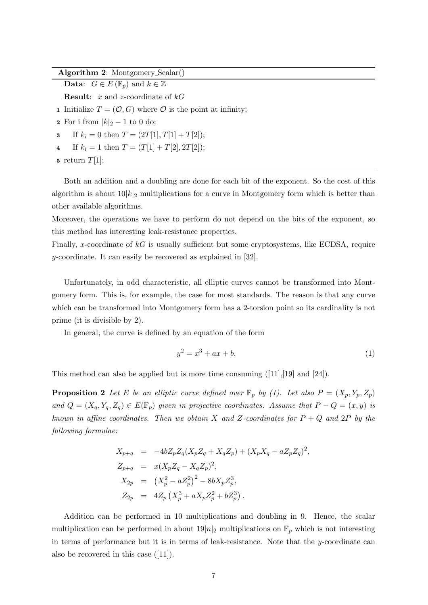Algorithm 2: Montgomery Scalar()

**Data:**  $G \in E(\mathbb{F}_p)$  and  $k \in \mathbb{Z}$ **Result:** x and z-coordinate of  $kG$ 1 Initialize  $T = (\mathcal{O}, G)$  where  $\mathcal O$  is the point at infinity; 2 For i from  $|k|_2 - 1$  to 0 do; 3 If  $k_i = 0$  then  $T = (2T[1], T[1] + T[2])$ ; 4 If  $k_i = 1$  then  $T = (T[1] + T[2], 2T[2])$ ;

5 return  $T[1]$ ;

Both an addition and a doubling are done for each bit of the exponent. So the cost of this algorithm is about  $10|k|_2$  multiplications for a curve in Montgomery form which is better than other available algorithms.

Moreover, the operations we have to perform do not depend on the bits of the exponent, so this method has interesting leak-resistance properties.

Finally, x-coordinate of  $kG$  is usually sufficient but some cryptosystems, like ECDSA, require y-coordinate. It can easily be recovered as explained in [32].

Unfortunately, in odd characteristic, all elliptic curves cannot be transformed into Montgomery form. This is, for example, the case for most standards. The reason is that any curve which can be transformed into Montgomery form has a 2-torsion point so its cardinality is not prime (it is divisible by 2).

In general, the curve is defined by an equation of the form

$$
y^2 = x^3 + ax + b.\t\t(1)
$$

This method can also be applied but is more time consuming  $([11],[19]$  and  $[24]$ .

**Proposition 2** Let E be an elliptic curve defined over  $\mathbb{F}_p$  by (1). Let also  $P = (X_p, Y_p, Z_p)$ and  $Q = (X_q, Y_q, Z_q) \in E(\mathbb{F}_p)$  given in projective coordinates. Assume that  $P - Q = (x, y)$  is known in affine coordinates. Then we obtain X and Z-coordinates for  $P + Q$  and  $2P$  by the following formulae:

$$
X_{p+q} = -4bZ_p Z_q (X_p Z_q + X_q Z_p) + (X_p X_q - aZ_p Z_q)^2,
$$
  
\n
$$
Z_{p+q} = x(X_p Z_q - X_q Z_p)^2,
$$
  
\n
$$
X_{2p} = (X_p^2 - aZ_p^2)^2 - 8bX_p Z_p^3,
$$
  
\n
$$
Z_{2p} = 4Z_p (X_p^3 + aX_p Z_p^2 + bZ_p^3).
$$

Addition can be performed in 10 multiplications and doubling in 9. Hence, the scalar multiplication can be performed in about  $19|n|_2$  multiplications on  $\mathbb{F}_p$  which is not interesting in terms of performance but it is in terms of leak-resistance. Note that the  $y$ -coordinate can also be recovered in this case ([11]).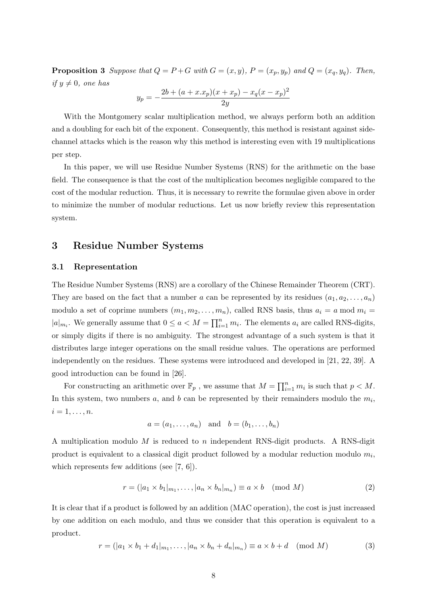**Proposition 3** Suppose that  $Q = P + G$  with  $G = (x, y)$ ,  $P = (x_p, y_p)$  and  $Q = (x_q, y_q)$ . Then, if  $y \neq 0$ , one has

$$
y_p = -\frac{2b + (a + x.x_p)(x + x_p) - x_q(x - x_p)^2}{2y}
$$

With the Montgomery scalar multiplication method, we always perform both an addition and a doubling for each bit of the exponent. Consequently, this method is resistant against sidechannel attacks which is the reason why this method is interesting even with 19 multiplications per step.

In this paper, we will use Residue Number Systems (RNS) for the arithmetic on the base field. The consequence is that the cost of the multiplication becomes negligible compared to the cost of the modular reduction. Thus, it is necessary to rewrite the formulae given above in order to minimize the number of modular reductions. Let us now briefly review this representation system.

### 3 Residue Number Systems

#### 3.1 Representation

The Residue Number Systems (RNS) are a corollary of the Chinese Remainder Theorem (CRT). They are based on the fact that a number a can be represented by its residues  $(a_1, a_2, \ldots, a_n)$ modulo a set of coprime numbers  $(m_1, m_2, \ldots, m_n)$ , called RNS basis, thus  $a_i = a \mod m_i =$  $|a|_{m_i}$ . We generally assume that  $0 \le a < M = \prod_{i=1}^n m_i$ . The elements  $a_i$  are called RNS-digits, or simply digits if there is no ambiguity. The strongest advantage of a such system is that it distributes large integer operations on the small residue values. The operations are performed independently on the residues. These systems were introduced and developed in [21, 22, 39]. A good introduction can be found in [26].

For constructing an arithmetic over  $\mathbb{F}_p$ , we assume that  $M = \prod_{i=1}^n m_i$  is such that  $p < M$ . In this system, two numbers  $a$ , and  $b$  can be represented by their remainders modulo the  $m_i$ ,  $i=1,\ldots,n$ .

$$
a = (a_1, \ldots, a_n) \quad \text{and} \quad b = (b_1, \ldots, b_n)
$$

A multiplication modulo  $M$  is reduced to  $n$  independent RNS-digit products. A RNS-digit product is equivalent to a classical digit product followed by a modular reduction modulo  $m_i$ , which represents few additions (see [7, 6]).

$$
r = (|a_1 \times b_1|_{m_1}, \dots, |a_n \times b_n|_{m_n}) \equiv a \times b \pmod{M}
$$
 (2)

It is clear that if a product is followed by an addition (MAC operation), the cost is just increased by one addition on each modulo, and thus we consider that this operation is equivalent to a product.

$$
r = (|a_1 \times b_1 + d_1|_{m_1}, \dots, |a_n \times b_n + d_n|_{m_n}) \equiv a \times b + d \pmod{M}
$$
 (3)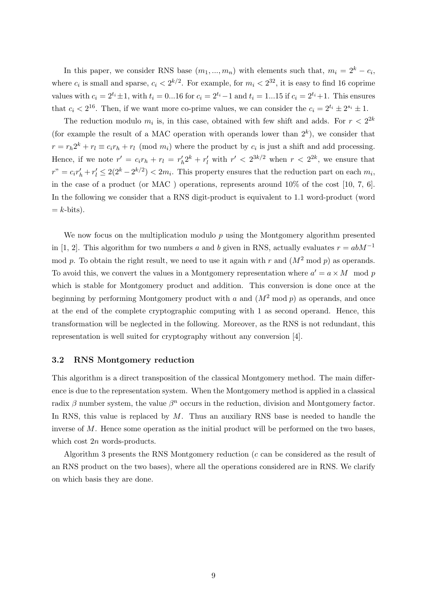In this paper, we consider RNS base  $(m_1, ..., m_n)$  with elements such that,  $m_i = 2^k - c_i$ , where  $c_i$  is small and sparse,  $c_i < 2^{k/2}$ . For example, for  $m_i < 2^{32}$ , it is easy to find 16 coprime values with  $c_i = 2^{t_i} \pm 1$ , with  $t_i = 0...16$  for  $c_i = 2^{t_i}-1$  and  $t_i = 1...15$  if  $c_i = 2^{t_i}+1$ . This ensures that  $c_i < 2^{16}$ . Then, if we want more co-prime values, we can consider the  $c_i = 2^{t_i} \pm 2^{s_i} \pm 1$ .

The reduction modulo  $m_i$  is, in this case, obtained with few shift and adds. For  $r < 2^{2k}$ (for example the result of a MAC operation with operands lower than  $2^k$ ), we consider that  $r = r_h 2^k + r_l \equiv c_i r_h + r_l \pmod{m_i}$  where the product by  $c_i$  is just a shift and add processing. Hence, if we note  $r' = c_i r_h + r_l = r'_h 2^k + r'_l$  with  $r' < 2^{3k/2}$  when  $r < 2^{2k}$ , we ensure that  $r'' = c_i r'_h + r'_l \leq 2(2^k - 2^{k/2}) < 2m_i$ . This property ensures that the reduction part on each  $m_i$ , in the case of a product (or MAC ) operations, represents around 10% of the cost [10, 7, 6]. In the following we consider that a RNS digit-product is equivalent to 1.1 word-product (word  $=$  k-bits).

We now focus on the multiplication modulo  $p$  using the Montgomery algorithm presented in [1, 2]. This algorithm for two numbers a and b given in RNS, actually evaluates  $r = abM^{-1}$ mod p. To obtain the right result, we need to use it again with r and  $(M^2 \text{ mod } p)$  as operands. To avoid this, we convert the values in a Montgomery representation where  $a' = a \times M \mod p$ which is stable for Montgomery product and addition. This conversion is done once at the beginning by performing Montgomery product with a and  $(M^2 \text{ mod } p)$  as operands, and once at the end of the complete cryptographic computing with 1 as second operand. Hence, this transformation will be neglected in the following. Moreover, as the RNS is not redundant, this representation is well suited for cryptography without any conversion [4].

#### 3.2 RNS Montgomery reduction

This algorithm is a direct transposition of the classical Montgomery method. The main difference is due to the representation system. When the Montgomery method is applied in a classical radix  $\beta$  number system, the value  $\beta^n$  occurs in the reduction, division and Montgomery factor. In RNS, this value is replaced by  $M$ . Thus an auxiliary RNS base is needed to handle the inverse of  $M$ . Hence some operation as the initial product will be performed on the two bases, which cost  $2n$  words-products.

Algorithm 3 presents the RNS Montgomery reduction  $(c \text{ can be considered as the result of})$ an RNS product on the two bases), where all the operations considered are in RNS. We clarify on which basis they are done.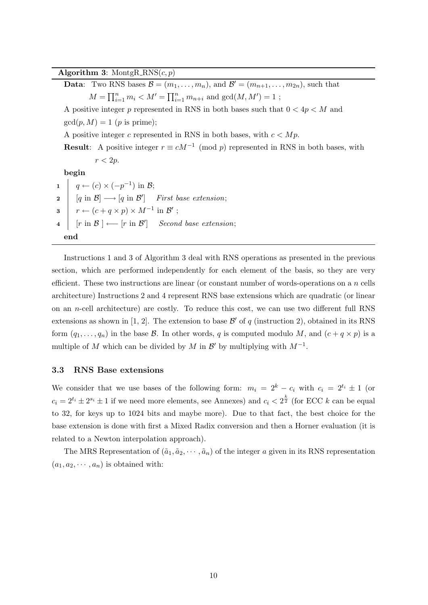Algorithm 3: MontgR\_RNS $(c, p)$ 

**Data:** Two RNS bases  $\mathcal{B} = (m_1, \ldots, m_n)$ , and  $\mathcal{B}' = (m_{n+1}, \ldots, m_{2n})$ , such that  $M = \prod_{i=1}^{n} m_i < M' = \prod_{i=1}^{n} m_{n+i}$  and  $gcd(M, M') = 1$ ; A positive integer p represented in RNS in both bases such that  $0 < 4p < M$  and  $gcd(p, M) = 1$  (*p* is prime); A positive integer c represented in RNS in both bases, with  $c < Mp$ . **Result:** A positive integer  $r \equiv cM^{-1} \pmod{p}$  represented in RNS in both bases, with  $r < 2p$ . begin  $\begin{array}{c|c} \textbf{1} & q \leftarrow (c) \times (-p^{-1}) \text{ in } \mathcal{B}; \end{array}$  $2 \mid [q \text{ in } \mathcal{B}] \longrightarrow [q \text{ in } \mathcal{B}']$  First base extension;  $\mathbf{s} \mid r \leftarrow (c + q \times p) \times M^{-1} \text{ in } \mathcal{B}'$ ; 4  $\vert$  [r in B] ← [r in B'] Second base extension; end

Instructions 1 and 3 of Algorithm 3 deal with RNS operations as presented in the previous section, which are performed independently for each element of the basis, so they are very efficient. These two instructions are linear (or constant number of words-operations on a  $n$  cells architecture) Instructions 2 and 4 represent RNS base extensions which are quadratic (or linear on an *n*-cell architecture) are costly. To reduce this cost, we can use two different full RNS extensions as shown in [1, 2]. The extension to base  $\mathcal{B}'$  of q (instruction 2), obtained in its RNS form  $(q_1, \ldots, q_n)$  in the base  $\mathcal B$ . In other words, q is computed modulo M, and  $(c + q \times p)$  is a multiple of M which can be divided by M in  $\mathcal{B}'$  by multiplying with  $M^{-1}$ .

#### 3.3 RNS Base extensions

We consider that we use bases of the following form:  $m_i = 2^k - c_i$  with  $c_i = 2^{t_i} \pm 1$  (or  $c_i = 2^{t_i} \pm 2^{s_i} \pm 1$  if we need more elements, see Annexes) and  $c_i < 2^{\frac{k}{2}}$  (for ECC k can be equal to 32, for keys up to 1024 bits and maybe more). Due to that fact, the best choice for the base extension is done with first a Mixed Radix conversion and then a Horner evaluation (it is related to a Newton interpolation approach).

The MRS Representation of  $(\tilde{a}_1, \tilde{a}_2, \cdots, \tilde{a}_n)$  of the integer a given in its RNS representation  $(a_1, a_2, \dots, a_n)$  is obtained with: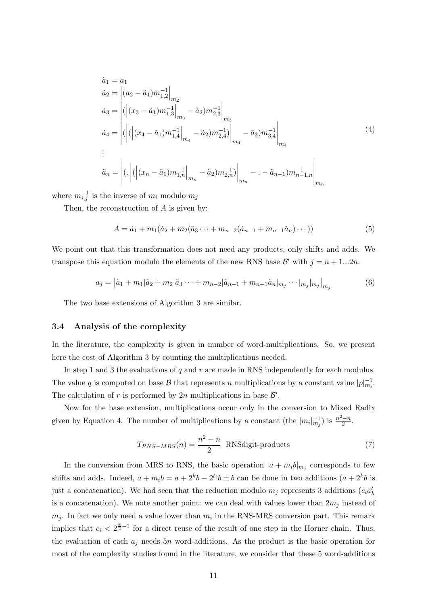$$
\tilde{a}_1 = a_1
$$
\n
$$
\tilde{a}_2 = \left| (a_2 - \tilde{a}_1) m_{1,2}^{-1} \right|_{m_2}
$$
\n
$$
\tilde{a}_3 = \left| ( \left| (x_3 - \tilde{a}_1) m_{1,3}^{-1} \right|_{m_3} - \tilde{a}_2) m_{2,3}^{-1} \right|_{m_3}
$$
\n
$$
\tilde{a}_4 = \left| ( \left| (x_4 - \tilde{a}_1) m_{1,4}^{-1} \right|_{m_4} - \tilde{a}_2) m_{2,4}^{-1} \right|_{m_4} - \tilde{a}_3) m_{3,4}^{-1} \right|_{m_4}
$$
\n
$$
\vdots
$$
\n
$$
\tilde{a}_n = \left| ( \cdot ) ( \left| (x_n - \tilde{a}_1) m_{1,n}^{-1} \right|_{m_n} - \tilde{a}_2) m_{2,n}^{-1} \right|_{m_n} - \tilde{a}_{n-1}) m_{n-1,n}^{-1} \right|_{m_n}
$$
\n(4)

where  $m_{i,j}^{-1}$  is the inverse of  $m_i$  modulo  $m_j$ 

Then, the reconstruction of A is given by:

$$
A = \tilde{a}_1 + m_1(\tilde{a}_2 + m_2(\tilde{a}_3 \cdots + m_{n-2}(\tilde{a}_{n-1} + m_{n-1}\tilde{a}_n) \cdots))
$$
(5)

We point out that this transformation does not need any products, only shifts and adds. We transpose this equation modulo the elements of the new RNS base  $\mathcal{B}'$  with  $j = n + 1...2n$ .

$$
a_j = |\tilde{a}_1 + m_1|\tilde{a}_2 + m_2|\tilde{a}_3 + \dots + m_{n-2}|\tilde{a}_{n-1} + m_{n-1}\tilde{a}_n|_{m_j} \dots |_{m_j}|_{m_j}|_{m_j}
$$
(6)

The two base extensions of Algorithm 3 are similar.

#### 3.4 Analysis of the complexity

In the literature, the complexity is given in number of word-multiplications. So, we present here the cost of Algorithm 3 by counting the multiplications needed.

In step 1 and 3 the evaluations of  $q$  and  $r$  are made in RNS independently for each modulus. The value q is computed on base B that represents n multiplications by a constant value  $|p|_{m_i}^{-1}$ . The calculation of r is performed by  $2n$  multiplications in base  $\mathcal{B}'$ .

Now for the base extension, multiplications occur only in the conversion to Mixed Radix given by Equation 4. The number of multiplications by a constant (the  $|m_i|_{m_j}^{-1}$ ) is  $\frac{n^2-n}{2}$  $\frac{-n}{2}$ .

$$
T_{RNS-MRS}(n) = \frac{n^2 - n}{2}
$$
 RNSdigit-products (7)

In the conversion from MRS to RNS, the basic operation  $|a + m_i b|_{m_j}$  corresponds to few shifts and adds. Indeed,  $a + m_i b = a + 2^k b - 2^{t_i} b \pm b$  can be done in two additions  $(a + 2^k b)$  is just a concatenation). We had seen that the reduction modulo  $m_j$  represents 3 additions  $(c_i a'_h)$ is a concatenation). We note another point: we can deal with values lower than  $2m_j$  instead of  $m_j$ . In fact we only need a value lower than  $m_i$  in the RNS-MRS conversion part. This remark implies that  $c_i < 2^{\frac{k}{2}-1}$  for a direct reuse of the result of one step in the Horner chain. Thus, the evaluation of each  $a_i$  needs 5n word-additions. As the product is the basic operation for most of the complexity studies found in the literature, we consider that these 5 word-additions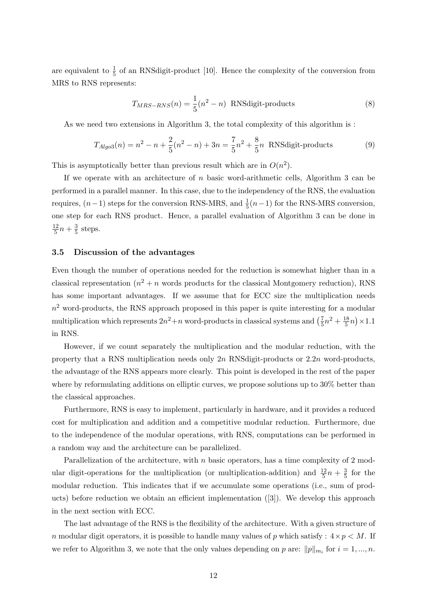are equivalent to  $\frac{1}{5}$  of an RNS digit-product [10]. Hence the complexity of the conversion from MRS to RNS represents:

$$
T_{MRS-RNS}(n) = \frac{1}{5}(n^2 - n) \text{ RNSdigit-products}
$$
 (8)

As we need two extensions in Algorithm 3, the total complexity of this algorithm is :

$$
T_{Algo3}(n) = n^2 - n + \frac{2}{5}(n^2 - n) + 3n = \frac{7}{5}n^2 + \frac{8}{5}n
$$
 RNSdigit-products (9)

This is asymptotically better than previous result which are in  $O(n^2)$ .

If we operate with an architecture of  $n$  basic word-arithmetic cells, Algorithm 3 can be performed in a parallel manner. In this case, due to the independency of the RNS, the evaluation requires,  $(n-1)$  steps for the conversion RNS-MRS, and  $\frac{1}{5}(n-1)$  for the RNS-MRS conversion, one step for each RNS product. Hence, a parallel evaluation of Algorithm 3 can be done in 12  $\frac{12}{5}n + \frac{3}{5}$  $\frac{3}{5}$  steps.

#### 3.5 Discussion of the advantages

Even though the number of operations needed for the reduction is somewhat higher than in a classical representation  $(n^2 + n \text{ words products for the classical Montgomery reduction})$ , RNS has some important advantages. If we assume that for ECC size the multiplication needs  $n<sup>2</sup>$  word-products, the RNS approach proposed in this paper is quite interesting for a modular multiplication which represents  $2n^2 + n$  word-products in classical systems and  $\left(\frac{7}{5}\right)$  $\frac{7}{5}n^2 + \frac{18}{5}$  $\frac{18}{5}n \geq 1.1$ in RNS.

However, if we count separately the multiplication and the modular reduction, with the property that a RNS multiplication needs only  $2n$  RNSdigit-products or  $2.2n$  word-products, the advantage of the RNS appears more clearly. This point is developed in the rest of the paper where by reformulating additions on elliptic curves, we propose solutions up to 30% better than the classical approaches.

Furthermore, RNS is easy to implement, particularly in hardware, and it provides a reduced cost for multiplication and addition and a competitive modular reduction. Furthermore, due to the independence of the modular operations, with RNS, computations can be performed in a random way and the architecture can be parallelized.

Parallelization of the architecture, with  $n$  basic operators, has a time complexity of 2 modular digit-operations for the multiplication (or multiplication-addition) and  $\frac{12}{5}n + \frac{3}{5}$  $\frac{3}{5}$  for the modular reduction. This indicates that if we accumulate some operations (i.e., sum of products) before reduction we obtain an efficient implementation ([3]). We develop this approach in the next section with ECC.

The last advantage of the RNS is the flexibility of the architecture. With a given structure of n modular digit operators, it is possible to handle many values of p which satisfy :  $4 \times p \le M$ . If we refer to Algorithm 3, we note that the only values depending on p are:  $||p||_{m_i}$  for  $i = 1, ..., n$ .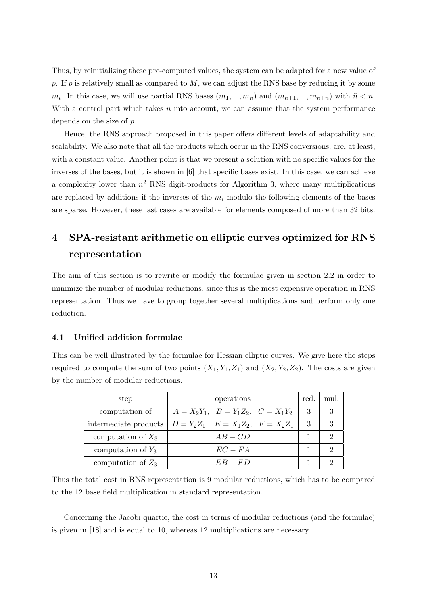Thus, by reinitializing these pre-computed values, the system can be adapted for a new value of p. If p is relatively small as compared to  $M$ , we can adjust the RNS base by reducing it by some  $m_i$ . In this case, we will use partial RNS bases  $(m_1, ..., m_{\tilde{n}})$  and  $(m_{n+1}, ..., m_{n+\tilde{n}})$  with  $\tilde{n} < n$ . With a control part which takes  $\tilde{n}$  into account, we can assume that the system performance depends on the size of p.

Hence, the RNS approach proposed in this paper offers different levels of adaptability and scalability. We also note that all the products which occur in the RNS conversions, are, at least, with a constant value. Another point is that we present a solution with no specific values for the inverses of the bases, but it is shown in [6] that specific bases exist. In this case, we can achieve a complexity lower than  $n^2$  RNS digit-products for Algorithm 3, where many multiplications are replaced by additions if the inverses of the  $m_i$  modulo the following elements of the bases are sparse. However, these last cases are available for elements composed of more than 32 bits.

## 4 SPA-resistant arithmetic on elliptic curves optimized for RNS representation

The aim of this section is to rewrite or modify the formulae given in section 2.2 in order to minimize the number of modular reductions, since this is the most expensive operation in RNS representation. Thus we have to group together several multiplications and perform only one reduction.

#### 4.1 Unified addition formulae

This can be well illustrated by the formulae for Hessian elliptic curves. We give here the steps required to compute the sum of two points  $(X_1, Y_1, Z_1)$  and  $(X_2, Y_2, Z_2)$ . The costs are given by the number of modular reductions.

| step                  | operations                              | red. | mul. |
|-----------------------|-----------------------------------------|------|------|
| computation of        | $A = X_2Y_1, B = Y_1Z_2, C = X_1Y_2$    | 3    |      |
| intermediate products | $D = Y_2 Z_1, E = X_1 Z_2, F = X_2 Z_1$ | 3    | 3    |
| computation of $X_3$  | $AB - CD$                               |      |      |
| computation of $Y_3$  | $EC-FA$                                 |      |      |
| computation of $Z_3$  | $EB = FD$                               |      |      |

Thus the total cost in RNS representation is 9 modular reductions, which has to be compared to the 12 base field multiplication in standard representation.

Concerning the Jacobi quartic, the cost in terms of modular reductions (and the formulae) is given in [18] and is equal to 10, whereas 12 multiplications are necessary.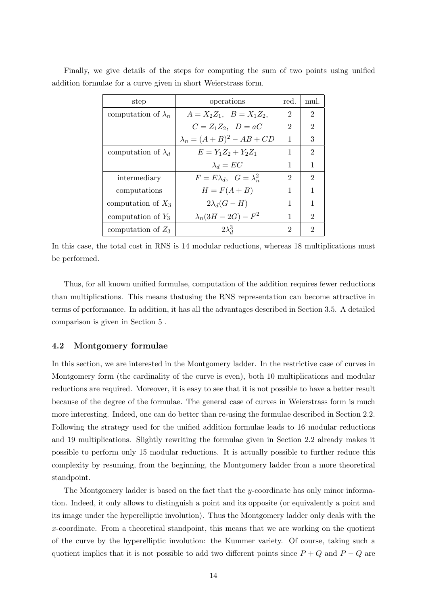| step                       | operations                           | red.           | mul.                        |
|----------------------------|--------------------------------------|----------------|-----------------------------|
| computation of $\lambda_n$ | $A = X_2 Z_1, \quad B = X_1 Z_2,$    | $\overline{2}$ | $\overline{2}$              |
|                            | $C=Z_1Z_2, \quad D=aC$               | 2              | $\overline{2}$              |
|                            | $\lambda_n = (A+B)^2 - AB + CD$      | 1              | 3                           |
| computation of $\lambda_d$ | $E = Y_1 Z_2 + Y_2 Z_1$              | 1              | $\mathfrak{D}$              |
|                            | $\lambda_d = EC$                     | 1              | 1                           |
| intermediary               | $F = E\lambda_d$ , $G = \lambda_n^2$ | 2              | $\mathcal{D}_{\mathcal{L}}$ |
| computations               | $H = F(A + B)$                       | 1              | 1                           |
| computation of $X_3$       | $2\lambda_d(G-H)$                    | 1              | 1                           |
| computation of $Y_3$       | $\lambda_n(3H-2G)-F^2$               | 1              | $\mathcal{D}_{\mathcal{L}}$ |
| computation of $Z_3$       | $2\lambda_d^3$                       | 2              | 9                           |

Finally, we give details of the steps for computing the sum of two points using unified addition formulae for a curve given in short Weierstrass form.

In this case, the total cost in RNS is 14 modular reductions, whereas 18 multiplications must be performed.

Thus, for all known unified formulae, computation of the addition requires fewer reductions than multiplications. This means thatusing the RNS representation can become attractive in terms of performance. In addition, it has all the advantages described in Section 3.5. A detailed comparison is given in Section 5 .

#### 4.2 Montgomery formulae

In this section, we are interested in the Montgomery ladder. In the restrictive case of curves in Montgomery form (the cardinality of the curve is even), both 10 multiplications and modular reductions are required. Moreover, it is easy to see that it is not possible to have a better result because of the degree of the formulae. The general case of curves in Weierstrass form is much more interesting. Indeed, one can do better than re-using the formulae described in Section 2.2. Following the strategy used for the unified addition formulae leads to 16 modular reductions and 19 multiplications. Slightly rewriting the formulae given in Section 2.2 already makes it possible to perform only 15 modular reductions. It is actually possible to further reduce this complexity by resuming, from the beginning, the Montgomery ladder from a more theoretical standpoint.

The Montgomery ladder is based on the fact that the y-coordinate has only minor information. Indeed, it only allows to distinguish a point and its opposite (or equivalently a point and its image under the hyperelliptic involution). Thus the Montgomery ladder only deals with the x-coordinate. From a theoretical standpoint, this means that we are working on the quotient of the curve by the hyperelliptic involution: the Kummer variety. Of course, taking such a quotient implies that it is not possible to add two different points since  $P + Q$  and  $P - Q$  are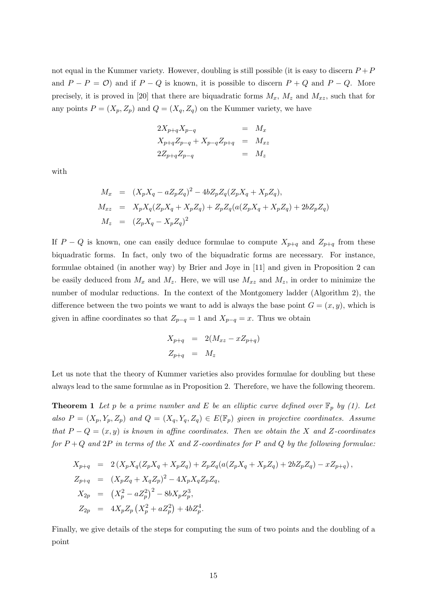not equal in the Kummer variety. However, doubling is still possible (it is easy to discern  $P + P$ and  $P - P = \mathcal{O}$  and if  $P - Q$  is known, it is possible to discern  $P + Q$  and  $P - Q$ . More precisely, it is proved in [20] that there are biquadratic forms  $M_x$ ,  $M_z$  and  $M_{xz}$ , such that for any points  $P = (X_p, Z_p)$  and  $Q = (X_q, Z_q)$  on the Kummer variety, we have

$$
2X_{p+q}X_{p-q} = M_x
$$
  
\n
$$
X_{p+q}Z_{p-q} + X_{p-q}Z_{p+q} = M_{xz}
$$
  
\n
$$
2Z_{p+q}Z_{p-q} = M_z
$$

with

$$
M_x = (X_p X_q - aZ_p Z_q)^2 - 4bZ_p Z_q (Z_p X_q + X_p Z_q),
$$
  
\n
$$
M_{xz} = X_p X_q (Z_p X_q + X_p Z_q) + Z_p Z_q (a(Z_p X_q + X_p Z_q) + 2bZ_p Z_q)
$$
  
\n
$$
M_z = (Z_p X_q - X_p Z_q)^2
$$

If  $P - Q$  is known, one can easily deduce formulae to compute  $X_{p+q}$  and  $Z_{p+q}$  from these biquadratic forms. In fact, only two of the biquadratic forms are necessary. For instance, formulae obtained (in another way) by Brier and Joye in [11] and given in Proposition 2 can be easily deduced from  $M_x$  and  $M_z$ . Here, we will use  $M_{xz}$  and  $M_z$ , in order to minimize the number of modular reductions. In the context of the Montgomery ladder (Algorithm 2), the difference between the two points we want to add is always the base point  $G = (x, y)$ , which is given in affine coordinates so that  $Z_{p-q} = 1$  and  $X_{p-q} = x$ . Thus we obtain

$$
X_{p+q} = 2(M_{xz} - xZ_{p+q})
$$
  

$$
Z_{p+q} = M_z
$$

Let us note that the theory of Kummer varieties also provides formulae for doubling but these always lead to the same formulae as in Proposition 2. Therefore, we have the following theorem.

**Theorem 1** Let p be a prime number and E be an elliptic curve defined over  $\mathbb{F}_p$  by (1). Let also  $P = (X_p, Y_p, Z_p)$  and  $Q = (X_q, Y_q, Z_q) \in E(\mathbb{F}_p)$  given in projective coordinates. Assume that  $P - Q = (x, y)$  is known in affine coordinates. Then we obtain the X and Z-coordinates for  $P+Q$  and  $2P$  in terms of the X and Z-coordinates for P and Q by the following formulae:

$$
X_{p+q} = 2(X_p X_q (Z_p X_q + X_p Z_q) + Z_p Z_q (a(Z_p X_q + X_p Z_q) + 2bZ_p Z_q) - xZ_{p+q}),
$$
  
\n
$$
Z_{p+q} = (X_p Z_q + X_q Z_p)^2 - 4X_p X_q Z_p Z_q,
$$
  
\n
$$
X_{2p} = (X_p^2 - aZ_p^2)^2 - 8bX_p Z_p^3,
$$
  
\n
$$
Z_{2p} = 4X_p Z_p (X_p^2 + aZ_p^2) + 4bZ_p^4.
$$

Finally, we give details of the steps for computing the sum of two points and the doubling of a point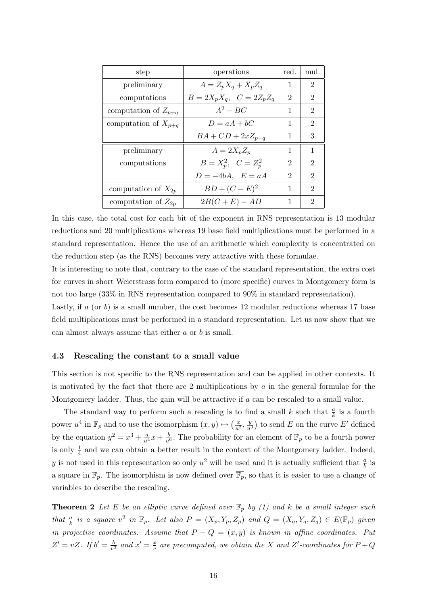| step                     | operations                | red. | mul.           |
|--------------------------|---------------------------|------|----------------|
| preliminary              | $A = Z_p X_q + X_p Z_q$   | 1    | 2              |
| computations             | $B=2X_pX_q$ , $C=2Z_pZ_q$ | 2    | 2              |
| computation of $Z_{p+q}$ | $A^2 - BC$                | 1    | 2              |
| computation of $X_{p+q}$ | $D = aA + bC$             | 1    | $\overline{2}$ |
|                          | $BA + CD + 2xZ_{p+q}$     | 1    | 3              |
| preliminary              | $A=2X_pZ_p$               | 1    | 1              |
| computations             | $B = X_p^2$ , $C = Z_p^2$ | 2    | 2              |
|                          | $D = -4bA$ , $E = aA$     | 2    | 2              |
| computation of $X_{2p}$  | $BD + (C - E)^2$          | 1    | $\mathfrak{D}$ |
| computation of $Z_{2n}$  | $2B(C+E) - AD$            | 1    | 2              |

In this case, the total cost for each bit of the exponent in RNS representation is 13 modular reductions and 20 multiplications whereas 19 base field multiplications must be performed in a standard representation. Hence the use of an arithmetic which complexity is concentrated on the reduction step (as the RNS) becomes very attractive with these formulae.

It is interesting to note that, contrary to the case of the standard representation, the extra cost for curves in short Weierstrass form compared to (more specific) curves in Montgomery form is not too large (33% in RNS representation compared to 90% in standard representation).

Lastly, if  $a$  (or  $b$ ) is a small number, the cost becomes 12 modular reductions whereas 17 base field multiplications must be performed in a standard representation. Let us now show that we can almost always assume that either a or b is small.

#### 4.3 Rescaling the constant to a small value

This section is not specific to the RNS representation and can be applied in other contexts. It is motivated by the fact that there are 2 multiplications by  $a$  in the general formulae for the Montgomery ladder. Thus, the gain will be attractive if a can be rescaled to a small value.

The standard way to perform such a rescaling is to find a small k such that  $\frac{a}{k}$  is a fourth power  $u^4$  in  $\mathbb{F}_p$  and to use the isomorphism  $(x, y) \mapsto \left(\frac{x}{u^2}, \frac{y}{u^2}\right)$  $\frac{y}{u^3}$ ) to send E on the curve E' defined by the equation  $y^2 = x^3 + \frac{a}{u^4}x + \frac{b}{u^6}$ . The probability for an element of  $\mathbb{F}_p$  to be a fourth power is only  $\frac{1}{4}$  and we can obtain a better result in the context of the Montgomery ladder. Indeed, y is not used in this representation so only  $u^2$  will be used and it is actually sufficient that  $\frac{a}{k}$  is a square in  $\mathbb{F}_p$ . The isomorphism is now defined over  $\overline{\mathbb{F}_p}$ , so that it is easier to use a change of variables to describe the rescaling.

**Theorem 2** Let E be an elliptic curve defined over  $\mathbb{F}_p$  by (1) and k be a small integer such that  $\frac{a}{k}$  is a square  $v^2$  in  $\mathbb{F}_p$ . Let also  $P = (X_p, Y_p, Z_p)$  and  $Q = (X_q, Y_q, Z_q) \in E(\mathbb{F}_p)$  given in projective coordinates. Assume that  $P - Q = (x, y)$  is known in affine coordinates. Put  $Z' = vZ$ . If  $b' = \frac{b}{w}$  $\frac{b}{v^3}$  and  $x' = \frac{x}{v}$  $\frac{x}{v}$  are precomputed, we obtain the X and Z'-coordinates for  $P+Q$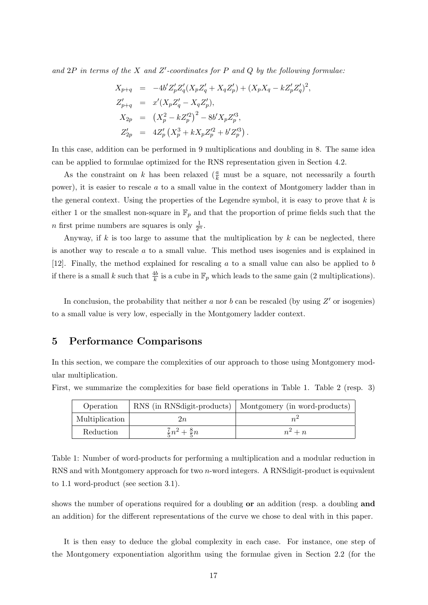and  $2P$  in terms of the X and Z'-coordinates for P and Q by the following formulae:

$$
X_{p+q} = -4b'Z'_p Z'_q (X_p Z'_q + X_q Z'_p) + (X_p X_q - k Z'_p Z'_q)^2,
$$
  
\n
$$
Z'_{p+q} = x'(X_p Z'_q - X_q Z'_p),
$$
  
\n
$$
X_{2p} = (X_p^2 - k Z'_p)^2 - 8b' X_p Z'_p^3,
$$
  
\n
$$
Z'_{2p} = 4Z'_p (X_p^3 + k X_p Z'_p^2 + b' Z'_p).
$$

In this case, addition can be performed in 9 multiplications and doubling in 8. The same idea can be applied to formulae optimized for the RNS representation given in Section 4.2.

As the constraint on k has been relaxed ( $\frac{a}{k}$  must be a square, not necessarily a fourth power), it is easier to rescale a to a small value in the context of Montgomery ladder than in the general context. Using the properties of the Legendre symbol, it is easy to prove that  $k$  is either 1 or the smallest non-square in  $\mathbb{F}_p$  and that the proportion of prime fields such that the *n* first prime numbers are squares is only  $\frac{1}{2^n}$ .

Anyway, if k is too large to assume that the multiplication by  $k$  can be neglected, there is another way to rescale a to a small value. This method uses isogenies and is explained in [12]. Finally, the method explained for rescaling a to a small value can also be applied to b if there is a small k such that  $\frac{4b}{k}$  is a cube in  $\mathbb{F}_p$  which leads to the same gain (2 multiplications).

In conclusion, the probability that neither  $a$  nor  $b$  can be rescaled (by using  $Z'$  or isogenies) to a small value is very low, especially in the Montgomery ladder context.

## 5 Performance Comparisons

In this section, we compare the complexities of our approach to those using Montgomery modular multiplication.

| Operation      |                                 | RNS (in RNSdigit-products)   Montgomery (in word-products) |
|----------------|---------------------------------|------------------------------------------------------------|
| Multiplication | 2n                              |                                                            |
| Reduction      | $\frac{7}{5}n^2 + \frac{8}{5}n$ | $n^2 + n$                                                  |

First, we summarize the complexities for base field operations in Table 1. Table 2 (resp. 3)

Table 1: Number of word-products for performing a multiplication and a modular reduction in RNS and with Montgomery approach for two n-word integers. A RNSdigit-product is equivalent to 1.1 word-product (see section 3.1).

shows the number of operations required for a doubling **or** an addition (resp. a doubling **and** an addition) for the different representations of the curve we chose to deal with in this paper.

It is then easy to deduce the global complexity in each case. For instance, one step of the Montgomery exponentiation algorithm using the formulae given in Section 2.2 (for the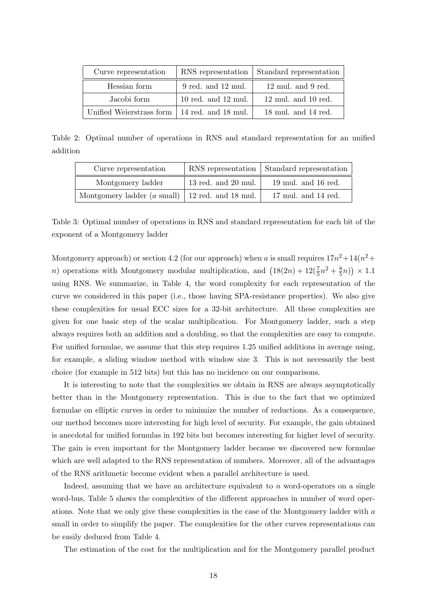| Curve representation                           |                         | RNS representation   Standard representation |
|------------------------------------------------|-------------------------|----------------------------------------------|
| Hessian form                                   | 9 red. and 12 mul.      | $12 \text{ mul.}$ and 9 red.                 |
| Jacobi form                                    | $10$ red. and $12$ mul. | $12 \text{ mul.}$ and $10 \text{ red.}$      |
| Unified Weierstrass form   14 red. and 18 mul. |                         | $18 \text{ mul.}$ and $14 \text{ red.}$      |

Table 2: Optimal number of operations in RNS and standard representation for an unified addition

| Curve representation                                        |                     | RNS representation   Standard representation |
|-------------------------------------------------------------|---------------------|----------------------------------------------|
| Montgomery ladder                                           | 13 red. and 20 mul. | $19$ mul. and $16$ red.                      |
| Montgomery ladder $(a \text{ small})$   12 red. and 18 mul. |                     | $17 \text{ mul.}$ and $14 \text{ red.}$      |

Table 3: Optimal number of operations in RNS and standard representation for each bit of the exponent of a Montgomery ladder

Montgomery approach) or section 4.2 (for our approach) when a is small requires  $17n^2+14(n^2+$ *n*) operations with Montgomery modular multiplication, and  $(18(2n) + 12(\frac{7}{5}n^2 + \frac{8}{5}n^2))$  $(\frac{8}{5}n)) \times 1.1$ using RNS. We summarize, in Table 4, the word complexity for each representation of the curve we considered in this paper (i.e., those having SPA-resistance properties). We also give these complexities for usual ECC sizes for a 32-bit architecture. All these complexities are given for one basic step of the scalar multiplication. For Montgomery ladder, such a step always requires both an addition and a doubling, so that the complexities are easy to compute. For unified formulae, we assume that this step requires 1.25 unified additions in average using, for example, a sliding window method with window size 3. This is not necessarily the best choice (for example in 512 bits) but this has no incidence on our comparisons.

It is interesting to note that the complexities we obtain in RNS are always asymptotically better than in the Montgomery representation. This is due to the fact that we optimized formulae on elliptic curves in order to minimize the number of reductions. As a consequence, our method becomes more interesting for high level of security. For example, the gain obtained is anecdotal for unified formulas in 192 bits but becomes interesting for higher level of security. The gain is even important for the Montgomery ladder because we discovered new formulae which are well adapted to the RNS representation of numbers. Moreover, all of the advantages of the RNS arithmetic become evident when a parallel architecture is used.

Indeed, assuming that we have an architecture equivalent to  $n$  word-operators on a single word-bus, Table 5 shows the complexities of the different approaches in number of word operations. Note that we only give these complexities in the case of the Montgomery ladder with a small in order to simplify the paper. The complexities for the other curves representations can be easily deduced from Table 4.

The estimation of the cost for the multiplication and for the Montgomery parallel product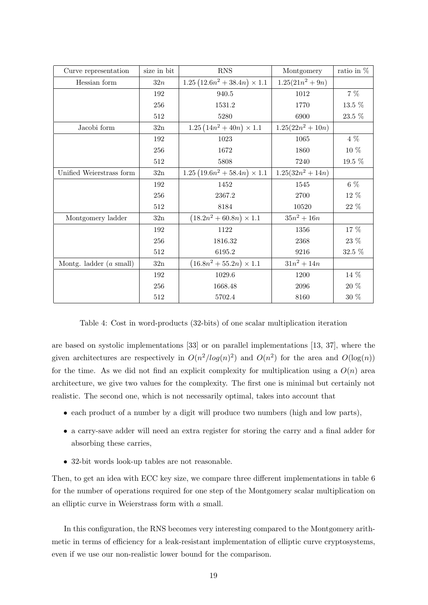| Curve representation              | size in bit    | <b>RNS</b>                          | Montgomery        | ratio in $%$ |
|-----------------------------------|----------------|-------------------------------------|-------------------|--------------|
| Hessian form                      | 32n            | 1.25 $(12.6n^2 + 38.4n) \times 1.1$ | $1.25(21n^2+9n)$  |              |
|                                   | 192            | 940.5                               | 1012              | $7\%$        |
|                                   | 256            | 1531.2                              | 1770              | $13.5~\%$    |
|                                   | 512            | 5280                                | 6900              | 23.5 %       |
| Jacobi form                       | $32\mathrm{n}$ | $1.25(14n^2+40n)\times 1.1$         | $1.25(22n^2+10n)$ |              |
|                                   | 192            | 1023                                | 1065              | 4 %          |
|                                   | 256            | 1672                                | 1860              | 10 %         |
|                                   | $512\,$        | 5808                                | 7240              | $19.5~\%$    |
| Unified Weierstrass form          | $32\mathrm{n}$ | $1.25(19.6n^2+58.4n)\times 1.1$     | $1.25(32n^2+14n)$ |              |
|                                   | 192            | 1452                                | 1545              | $6\%$        |
|                                   | 256            | 2367.2                              | 2700              | 12 %         |
|                                   | $512\,$        | 8184                                | 10520             | $22~\%$      |
| Montgomery ladder                 | $32\mathrm{n}$ | $(18.2n^2+60.8n)\times 1.1$         | $35n^2 + 16n$     |              |
|                                   | 192            | 1122                                | 1356              | 17 %         |
|                                   | 256            | 1816.32                             | 2368              | $23~\%$      |
|                                   | $512\,$        | 6195.2                              | 9216              | 32.5 %       |
| Montg. ladder $(a \text{ small})$ | $32\mathrm{n}$ | $(16.8n^2+55.2n)\times 1.1$         | $31n^2 + 14n$     |              |
|                                   | 192            | 1029.6                              | 1200              | $14~\%$      |
|                                   | 256            | 1668.48                             | $\,2096$          | $20~\%$      |
|                                   | $512\,$        | 5702.4                              | 8160              | 30 %         |

Table 4: Cost in word-products (32-bits) of one scalar multiplication iteration

are based on systolic implementations [33] or on parallel implementations [13, 37], where the given architectures are respectively in  $O(n^2/log(n)^2)$  and  $O(n^2)$  for the area and  $O(log(n))$ for the time. As we did not find an explicit complexity for multiplication using a  $O(n)$  area architecture, we give two values for the complexity. The first one is minimal but certainly not realistic. The second one, which is not necessarily optimal, takes into account that

- each product of a number by a digit will produce two numbers (high and low parts),
- a carry-save adder will need an extra register for storing the carry and a final adder for absorbing these carries,
- 32-bit words look-up tables are not reasonable.

Then, to get an idea with ECC key size, we compare three different implementations in table 6 for the number of operations required for one step of the Montgomery scalar multiplication on an elliptic curve in Weierstrass form with a small.

In this configuration, the RNS becomes very interesting compared to the Montgomery arithmetic in terms of efficiency for a leak-resistant implementation of elliptic curve cryptosystems, even if we use our non-realistic lower bound for the comparison.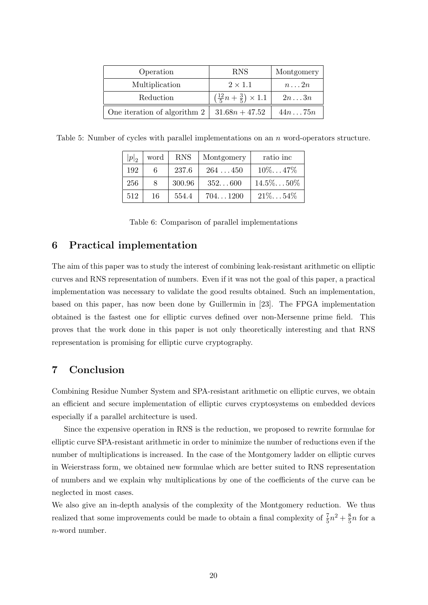| Operation                           | <b>RNS</b>                                         | Montgomery     |
|-------------------------------------|----------------------------------------------------|----------------|
| Multiplication                      | $2 \times 1.1$                                     | $n \ldots 2n$  |
| Reduction                           | $\left(\frac{12}{5}n+\frac{3}{5}\right)\times 1.1$ | $2n \ldots 3n$ |
| One iteration of algorithm $2 \mid$ | $31.68n + 47.52$                                   | 44n75n         |

Table 5: Number of cycles with parallel implementations on an n word-operators structure.

| $ p _2$ | word | <b>RNS</b> | Montgomery | ratio inc    |
|---------|------|------------|------------|--------------|
| 192     |      | 237.6      | 264450     | $10\%47\%$   |
| 256     |      | 300.96     | 352600     | $14.5\%50\%$ |
| 512     | 16   | 554.4      | 7041200    | $21\%54\%$   |

|  |  | Table 6: Comparison of parallel implementations |  |  |  |  |
|--|--|-------------------------------------------------|--|--|--|--|
|--|--|-------------------------------------------------|--|--|--|--|

## 6 Practical implementation

The aim of this paper was to study the interest of combining leak-resistant arithmetic on elliptic curves and RNS representation of numbers. Even if it was not the goal of this paper, a practical implementation was necessary to validate the good results obtained. Such an implementation, based on this paper, has now been done by Guillermin in [23]. The FPGA implementation obtained is the fastest one for elliptic curves defined over non-Mersenne prime field. This proves that the work done in this paper is not only theoretically interesting and that RNS representation is promising for elliptic curve cryptography.

## 7 Conclusion

Combining Residue Number System and SPA-resistant arithmetic on elliptic curves, we obtain an efficient and secure implementation of elliptic curves cryptosystems on embedded devices especially if a parallel architecture is used.

Since the expensive operation in RNS is the reduction, we proposed to rewrite formulae for elliptic curve SPA-resistant arithmetic in order to minimize the number of reductions even if the number of multiplications is increased. In the case of the Montgomery ladder on elliptic curves in Weierstrass form, we obtained new formulae which are better suited to RNS representation of numbers and we explain why multiplications by one of the coefficients of the curve can be neglected in most cases.

We also give an in-depth analysis of the complexity of the Montgomery reduction. We thus realized that some improvements could be made to obtain a final complexity of  $\frac{7}{5}n^2 + \frac{8}{5}$  $\frac{8}{5}n$  for a n-word number.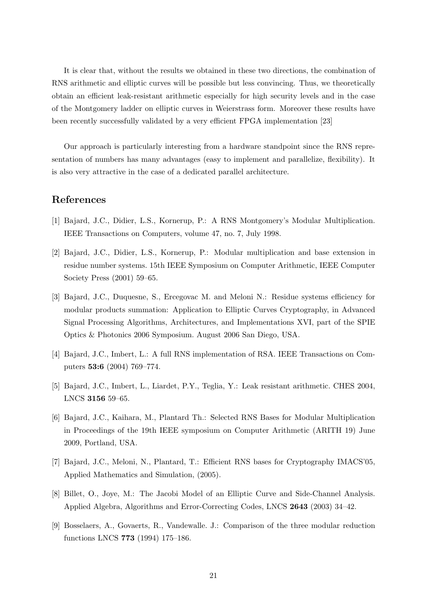It is clear that, without the results we obtained in these two directions, the combination of RNS arithmetic and elliptic curves will be possible but less convincing. Thus, we theoretically obtain an efficient leak-resistant arithmetic especially for high security levels and in the case of the Montgomery ladder on elliptic curves in Weierstrass form. Moreover these results have been recently successfully validated by a very efficient FPGA implementation [23]

Our approach is particularly interesting from a hardware standpoint since the RNS representation of numbers has many advantages (easy to implement and parallelize, flexibility). It is also very attractive in the case of a dedicated parallel architecture.

## References

- [1] Bajard, J.C., Didier, L.S., Kornerup, P.: A RNS Montgomery's Modular Multiplication. IEEE Transactions on Computers, volume 47, no. 7, July 1998.
- [2] Bajard, J.C., Didier, L.S., Kornerup, P.: Modular multiplication and base extension in residue number systems. 15th IEEE Symposium on Computer Arithmetic, IEEE Computer Society Press (2001) 59–65.
- [3] Bajard, J.C., Duquesne, S., Ercegovac M. and Meloni N.: Residue systems efficiency for modular products summation: Application to Elliptic Curves Cryptography, in Advanced Signal Processing Algorithms, Architectures, and Implementations XVI, part of the SPIE Optics & Photonics 2006 Symposium. August 2006 San Diego, USA.
- [4] Bajard, J.C., Imbert, L.: A full RNS implementation of RSA. IEEE Transactions on Computers 53:6 (2004) 769–774.
- [5] Bajard, J.C., Imbert, L., Liardet, P.Y., Teglia, Y.: Leak resistant arithmetic. CHES 2004, LNCS 3156 59–65.
- [6] Bajard, J.C., Kaihara, M., Plantard Th.: Selected RNS Bases for Modular Multiplication in Proceedings of the 19th IEEE symposium on Computer Arithmetic (ARITH 19) June 2009, Portland, USA.
- [7] Bajard, J.C., Meloni, N., Plantard, T.: Efficient RNS bases for Cryptography IMACS'05, Applied Mathematics and Simulation, (2005).
- [8] Billet, O., Joye, M.: The Jacobi Model of an Elliptic Curve and Side-Channel Analysis. Applied Algebra, Algorithms and Error-Correcting Codes, LNCS 2643 (2003) 34–42.
- [9] Bosselaers, A., Govaerts, R., Vandewalle. J.: Comparison of the three modular reduction functions LNCS 773 (1994) 175–186.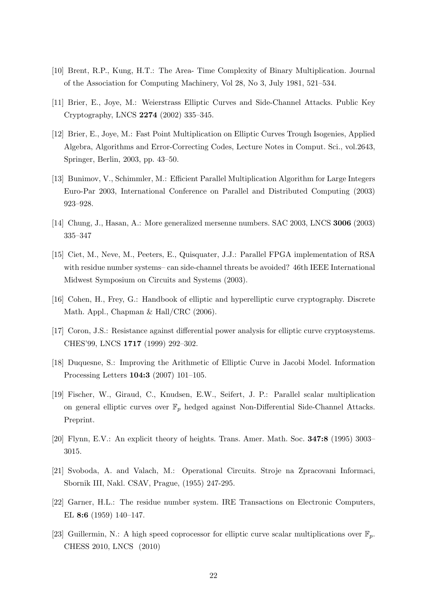- [10] Brent, R.P., Kung, H.T.: The Area- Time Complexity of Binary Multiplication. Journal of the Association for Computing Machinery, Vol 28, No 3, July 1981, 521–534.
- [11] Brier, E., Joye, M.: Weierstrass Elliptic Curves and Side-Channel Attacks. Public Key Cryptography, LNCS 2274 (2002) 335–345.
- [12] Brier, E., Joye, M.: Fast Point Multiplication on Elliptic Curves Trough Isogenies, Applied Algebra, Algorithms and Error-Correcting Codes, Lecture Notes in Comput. Sci., vol.2643, Springer, Berlin, 2003, pp. 43–50.
- [13] Bunimov, V., Schimmler, M.: Efficient Parallel Multiplication Algorithm for Large Integers Euro-Par 2003, International Conference on Parallel and Distributed Computing (2003) 923–928.
- [14] Chung, J., Hasan, A.: More generalized mersenne numbers. SAC 2003, LNCS 3006 (2003) 335–347
- [15] Ciet, M., Neve, M., Peeters, E., Quisquater, J.J.: Parallel FPGA implementation of RSA with residue number systems– can side-channel threats be avoided? 46th IEEE International Midwest Symposium on Circuits and Systems (2003).
- [16] Cohen, H., Frey, G.: Handbook of elliptic and hyperelliptic curve cryptography. Discrete Math. Appl., Chapman & Hall/CRC (2006).
- [17] Coron, J.S.: Resistance against differential power analysis for elliptic curve cryptosystems. CHES'99, LNCS 1717 (1999) 292–302.
- [18] Duquesne, S.: Improving the Arithmetic of Elliptic Curve in Jacobi Model. Information Processing Letters 104:3 (2007) 101–105.
- [19] Fischer, W., Giraud, C., Knudsen, E.W., Seifert, J. P.: Parallel scalar multiplication on general elliptic curves over  $\mathbb{F}_p$  hedged against Non-Differential Side-Channel Attacks. Preprint.
- [20] Flynn, E.V.: An explicit theory of heights. Trans. Amer. Math. Soc. 347:8 (1995) 3003– 3015.
- [21] Svoboda, A. and Valach, M.: Operational Circuits. Stroje na Zpracovani Informaci, Sbornik III, Nakl. CSAV, Prague, (1955) 247-295.
- [22] Garner, H.L.: The residue number system. IRE Transactions on Electronic Computers, EL 8:6 (1959) 140–147.
- [23] Guillermin, N.: A high speed coprocessor for elliptic curve scalar multiplications over  $\mathbb{F}_p$ . CHESS 2010, LNCS (2010)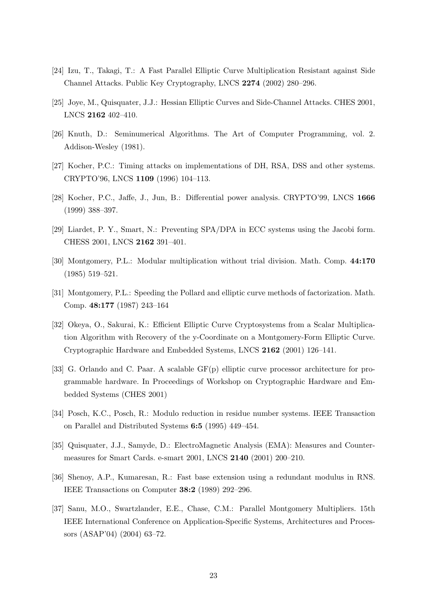- [24] Izu, T., Takagi, T.: A Fast Parallel Elliptic Curve Multiplication Resistant against Side Channel Attacks. Public Key Cryptography, LNCS 2274 (2002) 280–296.
- [25] Joye, M., Quisquater, J.J.: Hessian Elliptic Curves and Side-Channel Attacks. CHES 2001, LNCS 2162 402–410.
- [26] Knuth, D.: Seminumerical Algorithms. The Art of Computer Programming, vol. 2. Addison-Wesley (1981).
- [27] Kocher, P.C.: Timing attacks on implementations of DH, RSA, DSS and other systems. CRYPTO'96, LNCS 1109 (1996) 104–113.
- [28] Kocher, P.C., Jaffe, J., Jun, B.: Differential power analysis. CRYPTO'99, LNCS 1666 (1999) 388–397.
- [29] Liardet, P. Y., Smart, N.: Preventing SPA/DPA in ECC systems using the Jacobi form. CHESS 2001, LNCS 2162 391–401.
- [30] Montgomery, P.L.: Modular multiplication without trial division. Math. Comp. 44:170 (1985) 519–521.
- [31] Montgomery, P.L.: Speeding the Pollard and elliptic curve methods of factorization. Math. Comp. 48:177 (1987) 243–164
- [32] Okeya, O., Sakurai, K.: Efficient Elliptic Curve Cryptosystems from a Scalar Multiplication Algorithm with Recovery of the y-Coordinate on a Montgomery-Form Elliptic Curve. Cryptographic Hardware and Embedded Systems, LNCS 2162 (2001) 126–141.
- [33] G. Orlando and C. Paar. A scalable GF(p) elliptic curve processor architecture for programmable hardware. In Proceedings of Workshop on Cryptographic Hardware and Embedded Systems (CHES 2001)
- [34] Posch, K.C., Posch, R.: Modulo reduction in residue number systems. IEEE Transaction on Parallel and Distributed Systems 6:5 (1995) 449–454.
- [35] Quisquater, J.J., Samyde, D.: ElectroMagnetic Analysis (EMA): Measures and Countermeasures for Smart Cards. e-smart 2001, LNCS 2140 (2001) 200–210.
- [36] Shenoy, A.P., Kumaresan, R.: Fast base extension using a redundant modulus in RNS. IEEE Transactions on Computer 38:2 (1989) 292–296.
- [37] Sanu, M.O., Swartzlander, E.E., Chase, C.M.: Parallel Montgomery Multipliers. 15th IEEE International Conference on Application-Specific Systems, Architectures and Processors (ASAP'04) (2004) 63–72.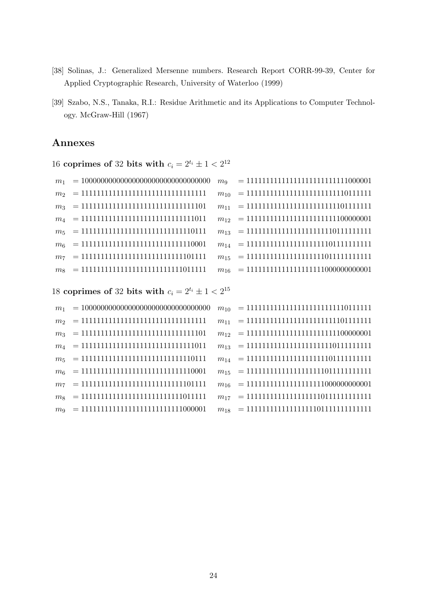- [38] Solinas, J.: Generalized Mersenne numbers. Research Report CORR-99-39, Center for Applied Cryptographic Research, University of Waterloo (1999)
- [39] Szabo, N.S., Tanaka, R.I.: Residue Arithmetic and its Applications to Computer Technology. McGraw-Hill (1967)

## Annexes

16 coprimes of 32 bits with  $c_i = 2^{t_i} \pm 1 < 2^{12}$ 

|                                            | $m_9 = 11111111111111111111111111000001$      |
|--------------------------------------------|-----------------------------------------------|
| $m_2 = 1111111111111111111111111111111$    | $m_{10}$ = 1111111111111111111111111101111111 |
| $m_3 = 1111111111111111111111111111101$    |                                               |
| $m_4$ = 1111111111111111111111111111111011 | $m_{12}$ = 111111111111111111111111100000001  |
| $m_5 = 11111111111111111111111111110111$   |                                               |
| $m_6$ = 111111111111111111111111111110001  |                                               |
| $m_7$ = 1111111111111111111111111111101111 |                                               |
| $m8 = 11111111111111111111111111011111$    | $m_{16}$ = 111111111111111111111000000000001  |

18 coprimes of 32 bits with  $c_i = 2^{t_i} \pm 1 < 2^{15}$ 

| m <sub>1</sub> |                                           | $m_{10}$ = 111111111111111111111111110111111 |
|----------------|-------------------------------------------|----------------------------------------------|
|                | $m_2 = 1111111111111111111111111111111$   |                                              |
|                | $m_3 = 1111111111111111111111111111101$   | $m_{12}$ = 111111111111111111111111100000001 |
|                | $m_4 = 11111111111111111111111111111011$  |                                              |
|                | $m_5 = 11111111111111111111111111110111$  |                                              |
|                | $m_6$ = 111111111111111111111111111110001 |                                              |
|                | $m_7 = 11111111111111111111111111101111$  | $m_{16}$ = 111111111111111111111000000000001 |
| $m_{\rm s}$    | $= 111111111111111111111111111011111$     |                                              |
|                | $m_9 = 1111111111111111111111111000001$   |                                              |